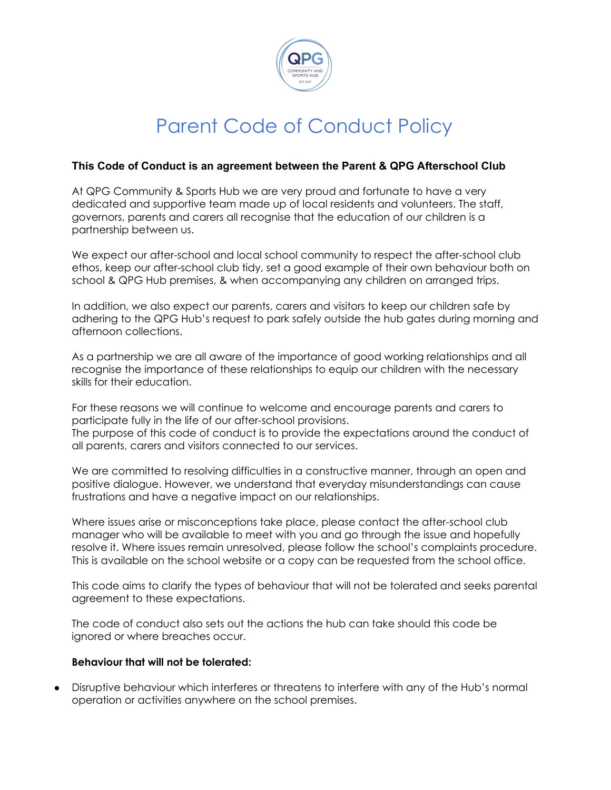

### **This Code of Conduct is an agreement between the Parent & QPG Afterschool Club**

At QPG Community & Sports Hub we are very proud and fortunate to have a very dedicated and supportive team made up of local residents and volunteers. The staff, governors, parents and carers all recognise that the education of our children is a partnership between us.

We expect our after-school and local school community to respect the after-school club ethos, keep our after-school club tidy, set a good example of their own behaviour both on school & QPG Hub premises, & when accompanying any children on arranged trips.

In addition, we also expect our parents, carers and visitors to keep our children safe by adhering to the QPG Hub's request to park safely outside the hub gates during morning and afternoon collections.

As a partnership we are all aware of the importance of good working relationships and all recognise the importance of these relationships to equip our children with the necessary skills for their education.

For these reasons we will continue to welcome and encourage parents and carers to participate fully in the life of our after-school provisions. The purpose of this code of conduct is to provide the expectations around the conduct of all parents, carers and visitors connected to our services.

We are committed to resolving difficulties in a constructive manner, through an open and positive dialogue. However, we understand that everyday misunderstandings can cause frustrations and have a negative impact on our relationships.

Where issues arise or misconceptions take place, please contact the after-school club manager who will be available to meet with you and go through the issue and hopefully resolve it. Where issues remain unresolved, please follow the school's complaints procedure. This is available on the school website or a copy can be requested from the school office.

This code aims to clarify the types of behaviour that will not be tolerated and seeks parental agreement to these expectations.

The code of conduct also sets out the actions the hub can take should this code be ignored or where breaches occur.

#### **Behaviour that will not be tolerated:**

Disruptive behaviour which interferes or threatens to interfere with any of the Hub's normal operation or activities anywhere on the school premises.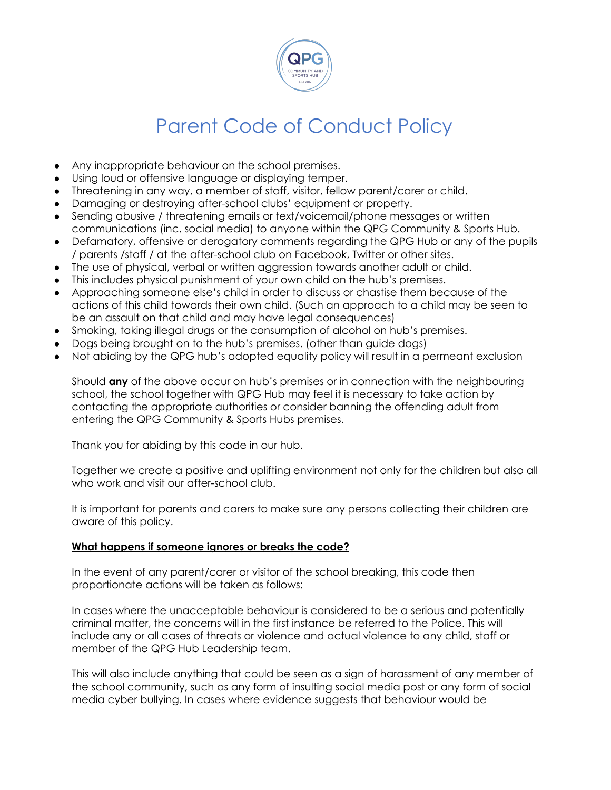

- Any inappropriate behaviour on the school premises.
- Using loud or offensive language or displaying temper.
- Threatening in any way, a member of staff, visitor, fellow parent/carer or child.
- Damaging or destroying after-school clubs' equipment or property.
- Sending abusive / threatening emails or text/voicemail/phone messages or written communications (inc. social media) to anyone within the QPG Community & Sports Hub.
- Defamatory, offensive or derogatory comments regarding the QPG Hub or any of the pupils / parents /staff / at the after-school club on Facebook, Twitter or other sites.
- The use of physical, verbal or written aggression towards another adult or child.
- This includes physical punishment of your own child on the hub's premises.
- Approaching someone else's child in order to discuss or chastise them because of the actions of this child towards their own child. (Such an approach to a child may be seen to be an assault on that child and may have legal consequences)
- Smoking, taking illegal drugs or the consumption of alcohol on hub's premises.
- Dogs being brought on to the hub's premises. (other than guide dogs)
- Not abiding by the QPG hub's adopted equality policy will result in a permeant exclusion

Should **any** of the above occur on hub's premises or in connection with the neighbouring school, the school together with QPG Hub may feel it is necessary to take action by contacting the appropriate authorities or consider banning the offending adult from entering the QPG Community & Sports Hubs premises.

Thank you for abiding by this code in our hub.

Together we create a positive and uplifting environment not only for the children but also all who work and visit our after-school club.

It is important for parents and carers to make sure any persons collecting their children are aware of this policy.

### **What happens if someone ignores or breaks the code?**

In the event of any parent/carer or visitor of the school breaking, this code then proportionate actions will be taken as follows:

In cases where the unacceptable behaviour is considered to be a serious and potentially criminal matter, the concerns will in the first instance be referred to the Police. This will include any or all cases of threats or violence and actual violence to any child, staff or member of the QPG Hub Leadership team.

This will also include anything that could be seen as a sign of harassment of any member of the school community, such as any form of insulting social media post or any form of social media cyber bullying. In cases where evidence suggests that behaviour would be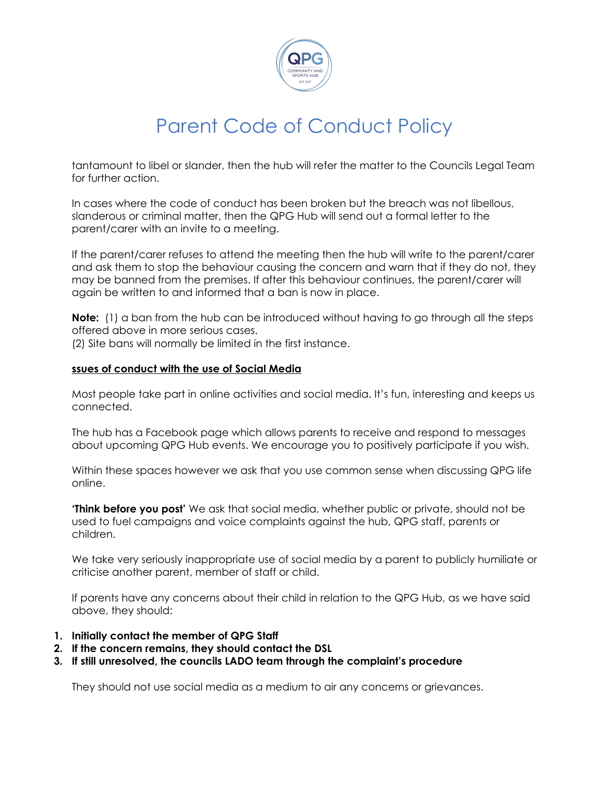

tantamount to libel or slander, then the hub will refer the matter to the Councils Legal Team for further action.

In cases where the code of conduct has been broken but the breach was not libellous, slanderous or criminal matter, then the QPG Hub will send out a formal letter to the parent/carer with an invite to a meeting.

If the parent/carer refuses to attend the meeting then the hub will write to the parent/carer and ask them to stop the behaviour causing the concern and warn that if they do not, they may be banned from the premises. If after this behaviour continues, the parent/carer will again be written to and informed that a ban is now in place.

**Note:** (1) a ban from the hub can be introduced without having to go through all the steps offered above in more serious cases.

(2) Site bans will normally be limited in the first instance.

#### **ssues of conduct with the use of Social Media**

Most people take part in online activities and social media. It's fun, interesting and keeps us connected.

The hub has a Facebook page which allows parents to receive and respond to messages about upcoming QPG Hub events. We encourage you to positively participate if you wish.

Within these spaces however we ask that you use common sense when discussing QPG life online.

**'Think before you post'** We ask that social media, whether public or private, should not be used to fuel campaigns and voice complaints against the hub, QPG staff, parents or children.

We take very seriously inappropriate use of social media by a parent to publicly humiliate or criticise another parent, member of staff or child.

If parents have any concerns about their child in relation to the QPG Hub, as we have said above, they should:

- **1. Initially contact the member of QPG Staff**
- **2. If the concern remains, they should contact the DSL**
- **3. If still unresolved, the councils LADO team through the complaint's procedure**

They should not use social media as a medium to air any concerns or grievances.